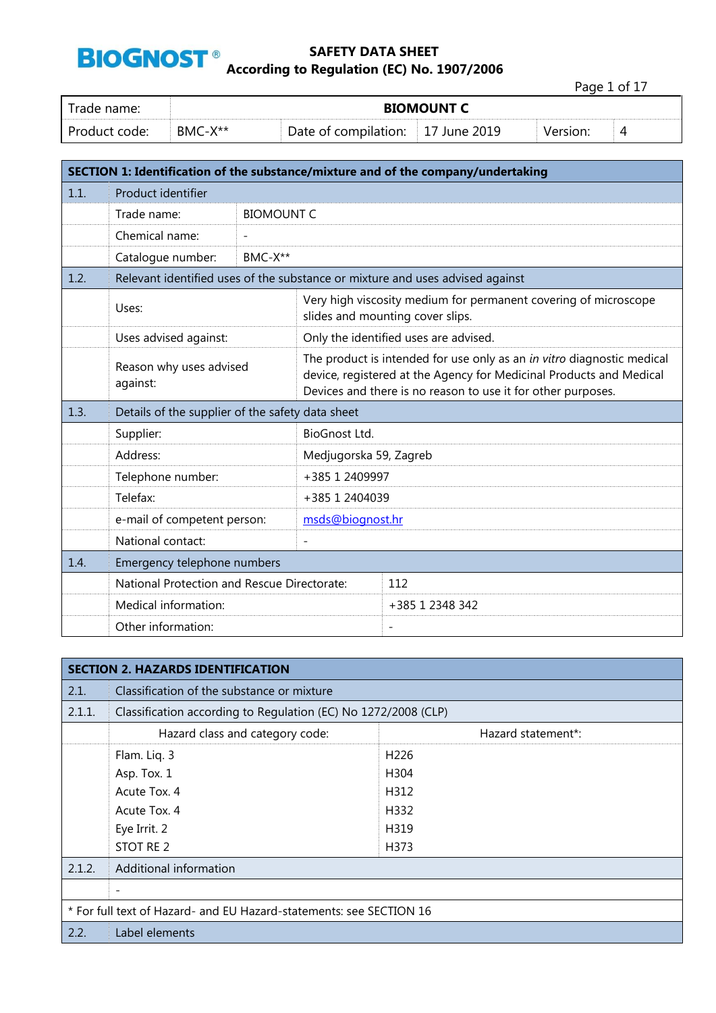

Page 1 of 17 Trade name: **BIOMOUNT C** Product code: BMC-X<sup>\*\*</sup> Date of compilation: 17 June 2019 Version: 4

|      | SECTION 1: Identification of the substance/mixture and of the company/undertaking |                                                              |                          |                                                                                                                                               |  |  |
|------|-----------------------------------------------------------------------------------|--------------------------------------------------------------|--------------------------|-----------------------------------------------------------------------------------------------------------------------------------------------|--|--|
| 1.1. | Product identifier                                                                |                                                              |                          |                                                                                                                                               |  |  |
|      | Trade name:                                                                       | <b>BIOMOUNT C</b>                                            |                          |                                                                                                                                               |  |  |
|      | Chemical name:                                                                    |                                                              |                          |                                                                                                                                               |  |  |
|      | Catalogue number:                                                                 | BMC-X**                                                      |                          |                                                                                                                                               |  |  |
| 1.2. | Relevant identified uses of the substance or mixture and uses advised against     |                                                              |                          |                                                                                                                                               |  |  |
|      | Uses:                                                                             |                                                              |                          | Very high viscosity medium for permanent covering of microscope<br>slides and mounting cover slips.                                           |  |  |
|      | Uses advised against:                                                             |                                                              |                          | Only the identified uses are advised.                                                                                                         |  |  |
|      | Reason why uses advised<br>against:                                               | Devices and there is no reason to use it for other purposes. |                          | The product is intended for use only as an in vitro diagnostic medical<br>device, registered at the Agency for Medicinal Products and Medical |  |  |
| 1.3. | Details of the supplier of the safety data sheet                                  |                                                              |                          |                                                                                                                                               |  |  |
|      | Supplier:                                                                         |                                                              | BioGnost Ltd.            |                                                                                                                                               |  |  |
|      | Address:                                                                          |                                                              | Medjugorska 59, Zagreb   |                                                                                                                                               |  |  |
|      | Telephone number:                                                                 |                                                              | +385 1 2409997           |                                                                                                                                               |  |  |
|      | Telefax:                                                                          |                                                              | +385 1 2404039           |                                                                                                                                               |  |  |
|      | e-mail of competent person:                                                       |                                                              | msds@biognost.hr         |                                                                                                                                               |  |  |
|      | National contact:                                                                 |                                                              | $\overline{\phantom{a}}$ |                                                                                                                                               |  |  |
| 1.4. | Emergency telephone numbers                                                       |                                                              |                          |                                                                                                                                               |  |  |
|      | National Protection and Rescue Directorate:                                       |                                                              |                          | 112                                                                                                                                           |  |  |
|      | Medical information:                                                              |                                                              |                          | +385 1 2348 342                                                                                                                               |  |  |
|      | Other information:                                                                |                                                              |                          | $\overline{\phantom{a}}$                                                                                                                      |  |  |

|        | <b>SECTION 2. HAZARDS IDENTIFICATION</b>                            |                    |  |  |  |
|--------|---------------------------------------------------------------------|--------------------|--|--|--|
| 2.1.   | Classification of the substance or mixture                          |                    |  |  |  |
| 2.1.1. | Classification according to Regulation (EC) No 1272/2008 (CLP)      |                    |  |  |  |
|        | Hazard class and category code:                                     | Hazard statement*: |  |  |  |
|        | Flam. Liq. 3                                                        | H <sub>226</sub>   |  |  |  |
|        | Asp. Tox. 1                                                         | H304               |  |  |  |
|        | Acute Tox. 4                                                        | H312               |  |  |  |
|        | Acute Tox. 4                                                        | H332               |  |  |  |
|        | Eye Irrit. 2                                                        | H319               |  |  |  |
|        | STOT RE 2                                                           | H373               |  |  |  |
| 2.1.2. | Additional information                                              |                    |  |  |  |
|        | $\overline{\phantom{a}}$                                            |                    |  |  |  |
|        | * For full text of Hazard- and EU Hazard-statements: see SECTION 16 |                    |  |  |  |
| 2.2.   | Label elements                                                      |                    |  |  |  |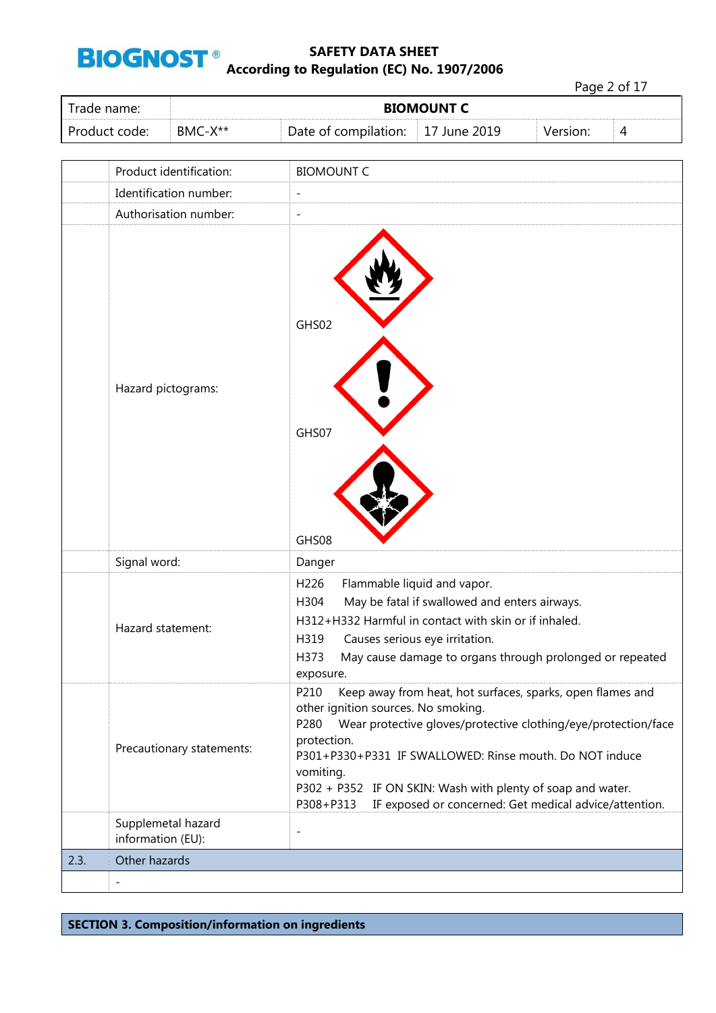

|                          |                        |                                         |                                                                                                                                                                                                                        |                                                                                                                                                                                        |          | Page 2 of 17 |  |  |  |
|--------------------------|------------------------|-----------------------------------------|------------------------------------------------------------------------------------------------------------------------------------------------------------------------------------------------------------------------|----------------------------------------------------------------------------------------------------------------------------------------------------------------------------------------|----------|--------------|--|--|--|
| Trade name:              |                        | <b>BIOMOUNT C</b>                       |                                                                                                                                                                                                                        |                                                                                                                                                                                        |          |              |  |  |  |
| Product code:            |                        | BMC-X**                                 | Date of compilation:                                                                                                                                                                                                   | 17 June 2019                                                                                                                                                                           | Version: | 4            |  |  |  |
|                          |                        | Product identification:                 | <b>BIOMOUNT C</b>                                                                                                                                                                                                      |                                                                                                                                                                                        |          |              |  |  |  |
|                          | Identification number: |                                         |                                                                                                                                                                                                                        |                                                                                                                                                                                        |          |              |  |  |  |
|                          | Authorisation number:  |                                         | $\overline{a}$                                                                                                                                                                                                         |                                                                                                                                                                                        |          |              |  |  |  |
|                          |                        | Hazard pictograms:                      | GHS02<br>GHS07<br>GHS08                                                                                                                                                                                                |                                                                                                                                                                                        |          |              |  |  |  |
|                          | Signal word:           |                                         | Danger                                                                                                                                                                                                                 |                                                                                                                                                                                        |          |              |  |  |  |
|                          |                        | Hazard statement:                       | H226<br>H304<br>H312+H332 Harmful in contact with skin or if inhaled.<br>H319<br>H373<br>exposure.                                                                                                                     | Flammable liquid and vapor.<br>May be fatal if swallowed and enters airways.<br>Causes serious eye irritation.<br>May cause damage to organs through prolonged or repeated             |          |              |  |  |  |
|                          |                        | Precautionary statements:               | P210<br>other ignition sources. No smoking.<br>P280<br>protection.<br>P301+P330+P331 IF SWALLOWED: Rinse mouth. Do NOT induce<br>vomiting.<br>P302 + P352 IF ON SKIN: Wash with plenty of soap and water.<br>P308+P313 | Keep away from heat, hot surfaces, sparks, open flames and<br>Wear protective gloves/protective clothing/eye/protection/face<br>IF exposed or concerned: Get medical advice/attention. |          |              |  |  |  |
|                          |                        | Supplemetal hazard<br>information (EU): | $\overline{\phantom{0}}$                                                                                                                                                                                               |                                                                                                                                                                                        |          |              |  |  |  |
| 2.3.                     | Other hazards          |                                         |                                                                                                                                                                                                                        |                                                                                                                                                                                        |          |              |  |  |  |
| $\overline{\phantom{a}}$ |                        |                                         |                                                                                                                                                                                                                        |                                                                                                                                                                                        |          |              |  |  |  |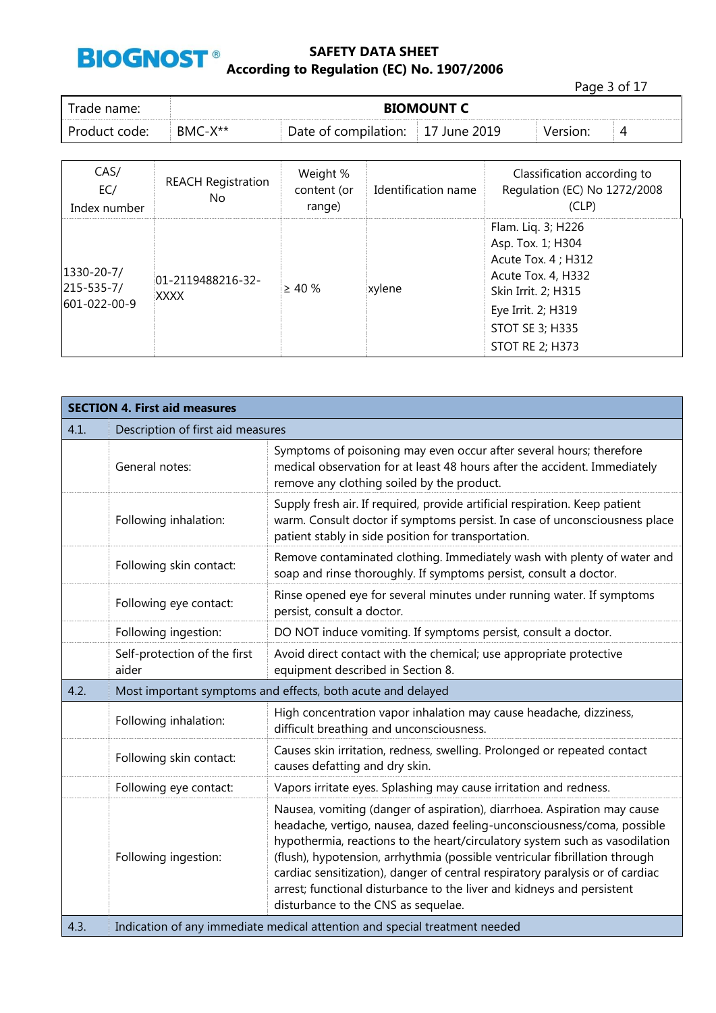

|               |         |                                   |                   |          | Page 3 of 17 |  |
|---------------|---------|-----------------------------------|-------------------|----------|--------------|--|
| Trade name:   |         |                                   | <b>BIOMOUNT C</b> |          |              |  |
| Product code: | BMC-X** | Date of compilation: 17 June 2019 |                   | Version: | 4            |  |

| CAS/<br>EC/<br>Index number                    | <b>REACH Registration</b><br>No. | Weight %<br>content (or<br>range) | Identification name | Classification according to<br>Regulation (EC) No 1272/2008<br>(CLP)                                                                                                                  |
|------------------------------------------------|----------------------------------|-----------------------------------|---------------------|---------------------------------------------------------------------------------------------------------------------------------------------------------------------------------------|
| $1330 - 20 - 7/$<br>215-535-7/<br>601-022-00-9 | 01-2119488216-32-<br>XXXX        | $\geq 40 \%$                      | xylene              | Flam. Liq. 3; H226<br>Asp. Tox. 1; H304<br>Acute Tox. 4 ; H312<br>Acute Tox. 4, H332<br>Skin Irrit. 2; H315<br>Eye Irrit. 2; H319<br><b>STOT SE 3; H335</b><br><b>STOT RE 2; H373</b> |

|      | <b>SECTION 4. First aid measures</b>  |                                                                                                                                                                                                                                                                                                                                                                                                                                                                                                                     |  |
|------|---------------------------------------|---------------------------------------------------------------------------------------------------------------------------------------------------------------------------------------------------------------------------------------------------------------------------------------------------------------------------------------------------------------------------------------------------------------------------------------------------------------------------------------------------------------------|--|
| 4.1. | Description of first aid measures     |                                                                                                                                                                                                                                                                                                                                                                                                                                                                                                                     |  |
|      | General notes:                        | Symptoms of poisoning may even occur after several hours; therefore<br>medical observation for at least 48 hours after the accident. Immediately<br>remove any clothing soiled by the product.                                                                                                                                                                                                                                                                                                                      |  |
|      | Following inhalation:                 | Supply fresh air. If required, provide artificial respiration. Keep patient<br>warm. Consult doctor if symptoms persist. In case of unconsciousness place<br>patient stably in side position for transportation.                                                                                                                                                                                                                                                                                                    |  |
|      | Following skin contact:               | Remove contaminated clothing. Immediately wash with plenty of water and<br>soap and rinse thoroughly. If symptoms persist, consult a doctor.                                                                                                                                                                                                                                                                                                                                                                        |  |
|      | Following eye contact:                | Rinse opened eye for several minutes under running water. If symptoms<br>persist, consult a doctor.                                                                                                                                                                                                                                                                                                                                                                                                                 |  |
|      | Following ingestion:                  | DO NOT induce vomiting. If symptoms persist, consult a doctor.                                                                                                                                                                                                                                                                                                                                                                                                                                                      |  |
|      | Self-protection of the first<br>aider | Avoid direct contact with the chemical; use appropriate protective<br>equipment described in Section 8.                                                                                                                                                                                                                                                                                                                                                                                                             |  |
| 4.2. |                                       | Most important symptoms and effects, both acute and delayed                                                                                                                                                                                                                                                                                                                                                                                                                                                         |  |
|      | Following inhalation:                 | High concentration vapor inhalation may cause headache, dizziness,<br>difficult breathing and unconsciousness.                                                                                                                                                                                                                                                                                                                                                                                                      |  |
|      | Following skin contact:               | Causes skin irritation, redness, swelling. Prolonged or repeated contact<br>causes defatting and dry skin.                                                                                                                                                                                                                                                                                                                                                                                                          |  |
|      | Following eye contact:                | Vapors irritate eyes. Splashing may cause irritation and redness.                                                                                                                                                                                                                                                                                                                                                                                                                                                   |  |
|      | Following ingestion:                  | Nausea, vomiting (danger of aspiration), diarrhoea. Aspiration may cause<br>headache, vertigo, nausea, dazed feeling-unconsciousness/coma, possible<br>hypothermia, reactions to the heart/circulatory system such as vasodilation<br>(flush), hypotension, arrhythmia (possible ventricular fibrillation through<br>cardiac sensitization), danger of central respiratory paralysis or of cardiac<br>arrest; functional disturbance to the liver and kidneys and persistent<br>disturbance to the CNS as sequelae. |  |
| 4.3. |                                       | Indication of any immediate medical attention and special treatment needed                                                                                                                                                                                                                                                                                                                                                                                                                                          |  |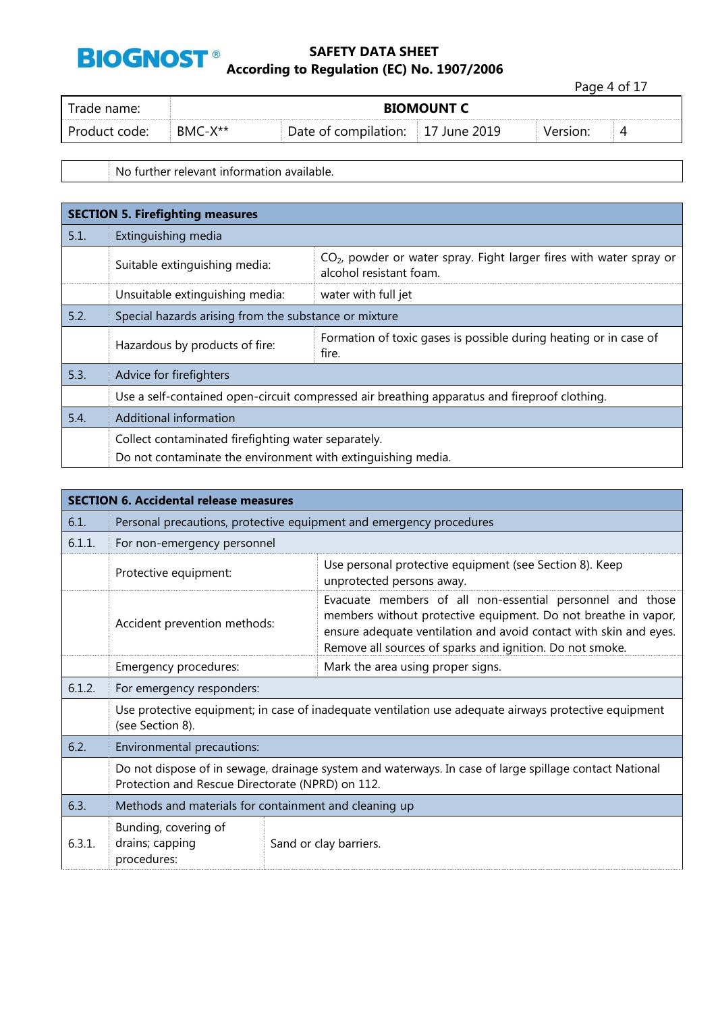

Page 4 of 17

| Trade name:   |         |                                   | <b>BIOMOUNT C</b> |          |  |  |
|---------------|---------|-----------------------------------|-------------------|----------|--|--|
| Product code: | BMC-X** | Date of compilation: 17 June 2019 |                   | Version: |  |  |

No further relevant information available.

|      | <b>SECTION 5. Firefighting measures</b>                      |                                                                                                  |  |  |  |
|------|--------------------------------------------------------------|--------------------------------------------------------------------------------------------------|--|--|--|
| 5.1. | Extinguishing media                                          |                                                                                                  |  |  |  |
|      | Suitable extinguishing media:                                | $CO2$ , powder or water spray. Fight larger fires with water spray or<br>alcohol resistant foam. |  |  |  |
|      | Unsuitable extinguishing media:                              | water with full jet                                                                              |  |  |  |
| 5.2. | Special hazards arising from the substance or mixture        |                                                                                                  |  |  |  |
|      | Hazardous by products of fire:                               | Formation of toxic gases is possible during heating or in case of<br>fire.                       |  |  |  |
| 5.3. | Advice for firefighters                                      |                                                                                                  |  |  |  |
|      |                                                              | Use a self-contained open-circuit compressed air breathing apparatus and fireproof clothing.     |  |  |  |
| 5.4. | Additional information                                       |                                                                                                  |  |  |  |
|      | Collect contaminated firefighting water separately.          |                                                                                                  |  |  |  |
|      | Do not contaminate the environment with extinguishing media. |                                                                                                  |  |  |  |

|        | <b>SECTION 6. Accidental release measures</b>                                                                                                              |                                                                                                                                                                                                                                                              |  |  |  |
|--------|------------------------------------------------------------------------------------------------------------------------------------------------------------|--------------------------------------------------------------------------------------------------------------------------------------------------------------------------------------------------------------------------------------------------------------|--|--|--|
| 6.1.   | Personal precautions, protective equipment and emergency procedures                                                                                        |                                                                                                                                                                                                                                                              |  |  |  |
| 6.1.1. | For non-emergency personnel                                                                                                                                |                                                                                                                                                                                                                                                              |  |  |  |
|        | Protective equipment:                                                                                                                                      | Use personal protective equipment (see Section 8). Keep<br>unprotected persons away.                                                                                                                                                                         |  |  |  |
|        | Accident prevention methods:                                                                                                                               | Evacuate members of all non-essential personnel and those<br>members without protective equipment. Do not breathe in vapor,<br>ensure adequate ventilation and avoid contact with skin and eyes.<br>Remove all sources of sparks and ignition. Do not smoke. |  |  |  |
|        | Emergency procedures:                                                                                                                                      | Mark the area using proper signs.                                                                                                                                                                                                                            |  |  |  |
| 6.1.2. | For emergency responders:                                                                                                                                  |                                                                                                                                                                                                                                                              |  |  |  |
|        | (see Section 8).                                                                                                                                           | Use protective equipment; in case of inadequate ventilation use adequate airways protective equipment                                                                                                                                                        |  |  |  |
| 6.2.   | Environmental precautions:                                                                                                                                 |                                                                                                                                                                                                                                                              |  |  |  |
|        | Do not dispose of in sewage, drainage system and waterways. In case of large spillage contact National<br>Protection and Rescue Directorate (NPRD) on 112. |                                                                                                                                                                                                                                                              |  |  |  |
| 6.3.   | Methods and materials for containment and cleaning up                                                                                                      |                                                                                                                                                                                                                                                              |  |  |  |
| 6.3.1. | Bunding, covering of<br>drains; capping<br>procedures:                                                                                                     | Sand or clay barriers.                                                                                                                                                                                                                                       |  |  |  |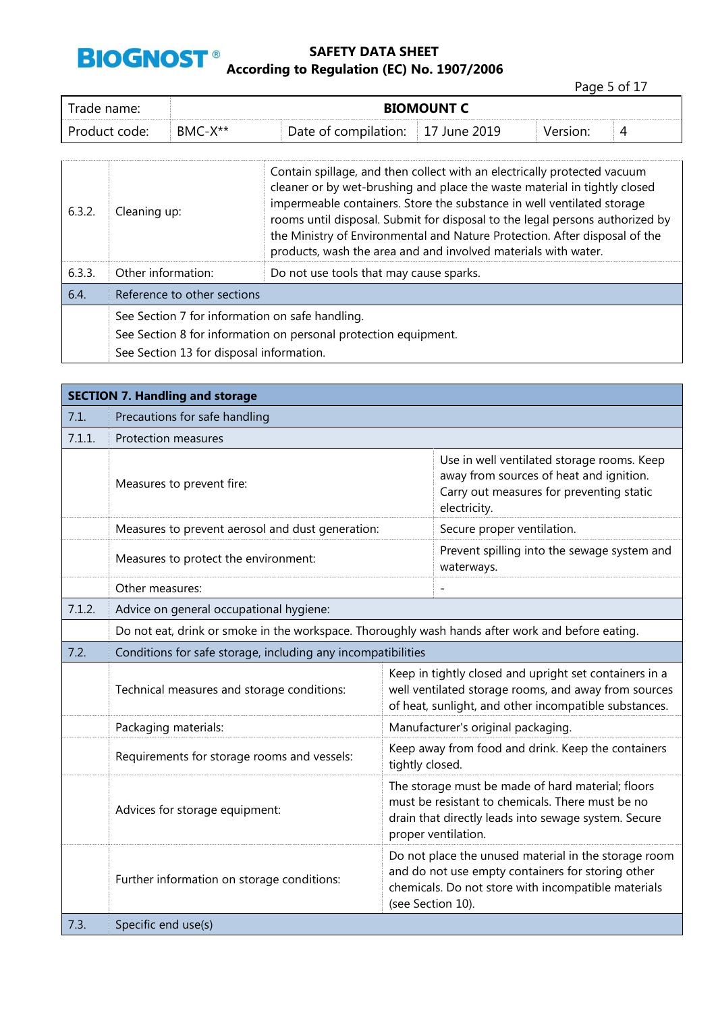

Page 5 of 17

| rade name:    | <b>BIOMOUNT C</b> |                      |           |          |   |
|---------------|-------------------|----------------------|-----------|----------|---|
| Product code: | BMC-X**           | Date of compilation: | June 2019 | Version: | ↵ |

| 6.3.2. | Cleaning up:                                                    | Contain spillage, and then collect with an electrically protected vacuum<br>cleaner or by wet-brushing and place the waste material in tightly closed<br>impermeable containers. Store the substance in well ventilated storage<br>rooms until disposal. Submit for disposal to the legal persons authorized by<br>the Ministry of Environmental and Nature Protection. After disposal of the<br>products, wash the area and and involved materials with water. |  |
|--------|-----------------------------------------------------------------|-----------------------------------------------------------------------------------------------------------------------------------------------------------------------------------------------------------------------------------------------------------------------------------------------------------------------------------------------------------------------------------------------------------------------------------------------------------------|--|
| 6.3.3. | Other information:                                              | Do not use tools that may cause sparks.                                                                                                                                                                                                                                                                                                                                                                                                                         |  |
| 6.4.   | Reference to other sections                                     |                                                                                                                                                                                                                                                                                                                                                                                                                                                                 |  |
|        | See Section 7 for information on safe handling.                 |                                                                                                                                                                                                                                                                                                                                                                                                                                                                 |  |
|        | See Section 8 for information on personal protection equipment. |                                                                                                                                                                                                                                                                                                                                                                                                                                                                 |  |
|        | See Section 13 for disposal information.                        |                                                                                                                                                                                                                                                                                                                                                                                                                                                                 |  |

|        | <b>SECTION 7. Handling and storage</b>                                                           |                                                                                                                                                                                      |                                                                                                                                                                                       |  |  |
|--------|--------------------------------------------------------------------------------------------------|--------------------------------------------------------------------------------------------------------------------------------------------------------------------------------------|---------------------------------------------------------------------------------------------------------------------------------------------------------------------------------------|--|--|
| 7.1.   | Precautions for safe handling                                                                    |                                                                                                                                                                                      |                                                                                                                                                                                       |  |  |
| 7.1.1. | Protection measures                                                                              |                                                                                                                                                                                      |                                                                                                                                                                                       |  |  |
|        | Measures to prevent fire:                                                                        |                                                                                                                                                                                      | Use in well ventilated storage rooms. Keep<br>away from sources of heat and ignition.<br>Carry out measures for preventing static<br>electricity.                                     |  |  |
|        | Measures to prevent aerosol and dust generation:                                                 |                                                                                                                                                                                      | Secure proper ventilation.                                                                                                                                                            |  |  |
|        | Measures to protect the environment:                                                             |                                                                                                                                                                                      | Prevent spilling into the sewage system and<br>waterways.                                                                                                                             |  |  |
|        | Other measures:                                                                                  |                                                                                                                                                                                      |                                                                                                                                                                                       |  |  |
| 7.1.2. | Advice on general occupational hygiene:                                                          |                                                                                                                                                                                      |                                                                                                                                                                                       |  |  |
|        | Do not eat, drink or smoke in the workspace. Thoroughly wash hands after work and before eating. |                                                                                                                                                                                      |                                                                                                                                                                                       |  |  |
| 7.2.   | Conditions for safe storage, including any incompatibilities                                     |                                                                                                                                                                                      |                                                                                                                                                                                       |  |  |
|        | Technical measures and storage conditions:                                                       |                                                                                                                                                                                      | Keep in tightly closed and upright set containers in a<br>well ventilated storage rooms, and away from sources<br>of heat, sunlight, and other incompatible substances.               |  |  |
|        | Packaging materials:                                                                             |                                                                                                                                                                                      | Manufacturer's original packaging.                                                                                                                                                    |  |  |
|        | Requirements for storage rooms and vessels:                                                      | tightly closed.                                                                                                                                                                      | Keep away from food and drink. Keep the containers                                                                                                                                    |  |  |
|        | Advices for storage equipment:                                                                   | The storage must be made of hard material; floors<br>must be resistant to chemicals. There must be no<br>drain that directly leads into sewage system. Secure<br>proper ventilation. |                                                                                                                                                                                       |  |  |
|        | Further information on storage conditions:                                                       |                                                                                                                                                                                      | Do not place the unused material in the storage room<br>and do not use empty containers for storing other<br>chemicals. Do not store with incompatible materials<br>(see Section 10). |  |  |
| 7.3.   | Specific end use(s)                                                                              |                                                                                                                                                                                      |                                                                                                                                                                                       |  |  |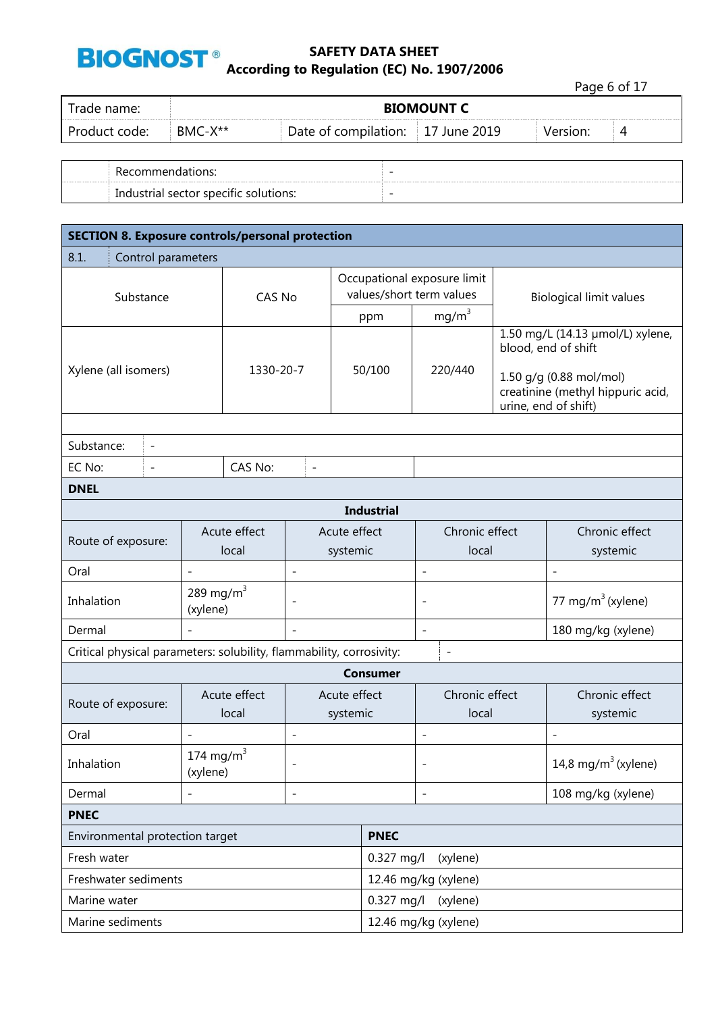

|               |              |                                     |                   |          | Page 6 of 17 |  |
|---------------|--------------|-------------------------------------|-------------------|----------|--------------|--|
| Trade name:   |              |                                     | <b>BIOMOUNT C</b> |          |              |  |
| Product code: | $BMC-X^{**}$ | Date of compilation:   17 June 2019 |                   | Version: | 4            |  |
|               |              |                                     |                   |          |              |  |

| .וטווא<br>∼ ⊷                                                         | $\overline{\phantom{a}}$ |
|-----------------------------------------------------------------------|--------------------------|
| .<br>s∩li<br>utions:<br>specific<br>Inc<br>101111<br>. sector<br>rial | $\overline{\phantom{0}}$ |

| <b>SECTION 8. Exposure controls/personal protection</b>              |                          |                       |                          |                          |                                                         |                              |                          |                                                                                                                                                 |                               |
|----------------------------------------------------------------------|--------------------------|-----------------------|--------------------------|--------------------------|---------------------------------------------------------|------------------------------|--------------------------|-------------------------------------------------------------------------------------------------------------------------------------------------|-------------------------------|
| 8.1.<br>Control parameters                                           |                          |                       |                          |                          |                                                         |                              |                          |                                                                                                                                                 |                               |
| Substance                                                            |                          | CAS No                |                          |                          | Occupational exposure limit<br>values/short term values |                              |                          | <b>Biological limit values</b>                                                                                                                  |                               |
|                                                                      |                          |                       |                          |                          | ppm                                                     |                              | mg/m <sup>3</sup>        |                                                                                                                                                 |                               |
| Xylene (all isomers)                                                 |                          | 1330-20-7             |                          |                          | 50/100                                                  |                              | 220/440                  | 1.50 mg/L (14.13 µmol/L) xylene,<br>blood, end of shift<br>1.50 g/g (0.88 mol/mol)<br>creatinine (methyl hippuric acid,<br>urine, end of shift) |                               |
|                                                                      |                          |                       |                          |                          |                                                         |                              |                          |                                                                                                                                                 |                               |
| Substance:<br>$\overline{\phantom{a}}$                               |                          |                       |                          |                          |                                                         |                              |                          |                                                                                                                                                 |                               |
| EC No:<br>$\overline{\phantom{a}}$                                   |                          | CAS No:               | $\overline{a}$           |                          |                                                         |                              |                          |                                                                                                                                                 |                               |
| <b>DNEL</b>                                                          |                          |                       |                          |                          |                                                         |                              |                          |                                                                                                                                                 |                               |
|                                                                      |                          |                       |                          |                          | <b>Industrial</b>                                       |                              |                          |                                                                                                                                                 |                               |
| Route of exposure:                                                   |                          | Acute effect<br>local | Acute effect<br>systemic |                          |                                                         | Chronic effect<br>local      |                          |                                                                                                                                                 | Chronic effect<br>systemic    |
| Oral                                                                 |                          |                       | $\overline{\phantom{a}}$ |                          |                                                         |                              |                          |                                                                                                                                                 | $\overline{\phantom{0}}$      |
| Inhalation                                                           | 289 mg/m $3$<br>(xylene) |                       | $\overline{\phantom{a}}$ |                          |                                                         | $\overline{\phantom{a}}$     |                          |                                                                                                                                                 | 77 mg/m <sup>3</sup> (xylene) |
| Dermal                                                               | $\overline{\phantom{a}}$ |                       | $\overline{\phantom{a}}$ |                          |                                                         | $\qquad \qquad \blacksquare$ |                          |                                                                                                                                                 | 180 mg/kg (xylene)            |
| Critical physical parameters: solubility, flammability, corrosivity: |                          |                       |                          |                          |                                                         |                              | $\overline{\phantom{a}}$ |                                                                                                                                                 |                               |
|                                                                      |                          |                       |                          |                          | <b>Consumer</b>                                         |                              |                          |                                                                                                                                                 |                               |
| Route of exposure:                                                   |                          | Acute effect<br>local |                          | Acute effect<br>systemic | Chronic effect<br>local                                 |                              |                          | Chronic effect<br>systemic                                                                                                                      |                               |
| Oral                                                                 |                          |                       | $\overline{\phantom{a}}$ |                          |                                                         | ÷,                           |                          |                                                                                                                                                 |                               |
| Inhalation                                                           | 174 mg/m $3$<br>(xylene) |                       |                          |                          |                                                         |                              |                          |                                                                                                                                                 | 14,8 mg/m $3$ (xylene)        |
| Dermal                                                               |                          |                       | $\overline{\phantom{a}}$ |                          |                                                         |                              |                          |                                                                                                                                                 | 108 mg/kg (xylene)            |
| <b>PNEC</b>                                                          |                          |                       |                          |                          |                                                         |                              |                          |                                                                                                                                                 |                               |
| Environmental protection target                                      |                          |                       |                          | <b>PNEC</b>              |                                                         |                              |                          |                                                                                                                                                 |                               |
| Fresh water                                                          |                          |                       |                          | 0.327 mg/l               |                                                         | (xylene)                     |                          |                                                                                                                                                 |                               |
| Freshwater sediments                                                 |                          |                       |                          |                          | 12.46 mg/kg (xylene)                                    |                              |                          |                                                                                                                                                 |                               |
| Marine water                                                         |                          |                       |                          |                          | 0.327 mg/l                                              |                              | (xylene)                 |                                                                                                                                                 |                               |
| Marine sediments                                                     |                          |                       |                          |                          | 12.46 mg/kg (xylene)                                    |                              |                          |                                                                                                                                                 |                               |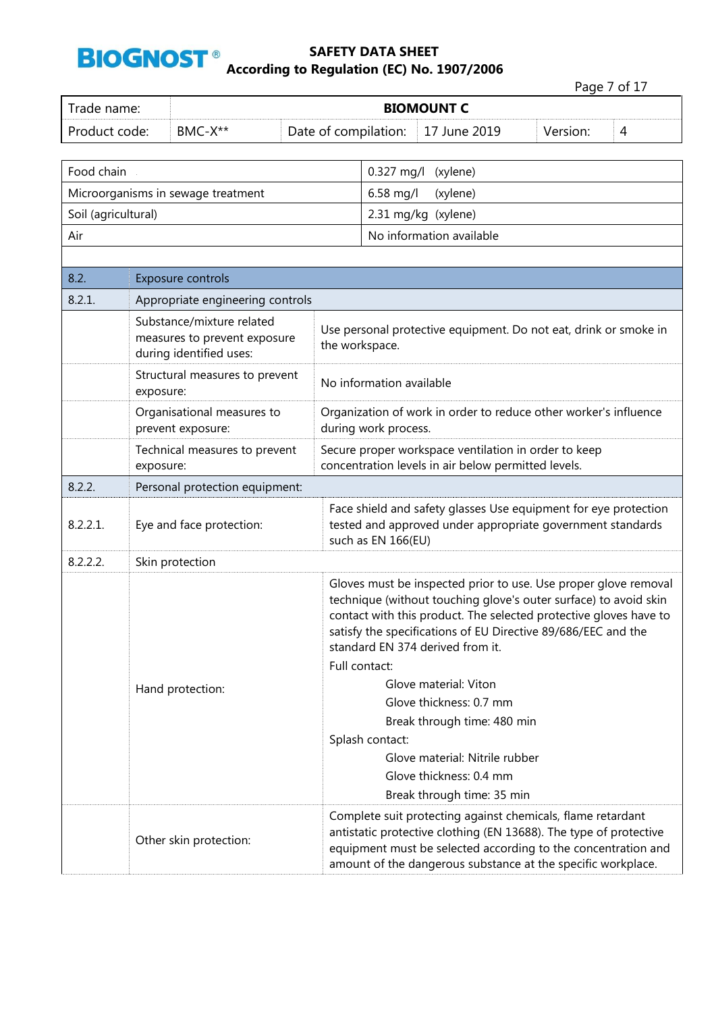

|                     |                          |                                                                                      |                   |                                                                                                                                                                                                                                                                                                               |                                                                                                                                                                                                                                                                   |          | Page 7 of 17   |  |  |  |
|---------------------|--------------------------|--------------------------------------------------------------------------------------|-------------------|---------------------------------------------------------------------------------------------------------------------------------------------------------------------------------------------------------------------------------------------------------------------------------------------------------------|-------------------------------------------------------------------------------------------------------------------------------------------------------------------------------------------------------------------------------------------------------------------|----------|----------------|--|--|--|
| Trade name:         |                          |                                                                                      | <b>BIOMOUNT C</b> |                                                                                                                                                                                                                                                                                                               |                                                                                                                                                                                                                                                                   |          |                |  |  |  |
|                     | Product code:<br>BMC-X** |                                                                                      |                   | Date of compilation:                                                                                                                                                                                                                                                                                          | 17 June 2019                                                                                                                                                                                                                                                      | Version: | $\overline{4}$ |  |  |  |
| Food chain          |                          |                                                                                      |                   | 0.327 mg/l                                                                                                                                                                                                                                                                                                    | (xylene)                                                                                                                                                                                                                                                          |          |                |  |  |  |
|                     |                          | Microorganisms in sewage treatment                                                   |                   | 6.58 mg/l                                                                                                                                                                                                                                                                                                     | (xylene)                                                                                                                                                                                                                                                          |          |                |  |  |  |
| Soil (agricultural) |                          |                                                                                      |                   |                                                                                                                                                                                                                                                                                                               | 2.31 mg/kg (xylene)                                                                                                                                                                                                                                               |          |                |  |  |  |
| Air                 |                          |                                                                                      |                   |                                                                                                                                                                                                                                                                                                               | No information available                                                                                                                                                                                                                                          |          |                |  |  |  |
|                     |                          |                                                                                      |                   |                                                                                                                                                                                                                                                                                                               |                                                                                                                                                                                                                                                                   |          |                |  |  |  |
| 8.2.                |                          | Exposure controls                                                                    |                   |                                                                                                                                                                                                                                                                                                               |                                                                                                                                                                                                                                                                   |          |                |  |  |  |
| 8.2.1.              |                          | Appropriate engineering controls                                                     |                   |                                                                                                                                                                                                                                                                                                               |                                                                                                                                                                                                                                                                   |          |                |  |  |  |
|                     |                          | Substance/mixture related<br>measures to prevent exposure<br>during identified uses: |                   | the workspace.                                                                                                                                                                                                                                                                                                | Use personal protective equipment. Do not eat, drink or smoke in                                                                                                                                                                                                  |          |                |  |  |  |
|                     | exposure:                | Structural measures to prevent                                                       |                   | No information available                                                                                                                                                                                                                                                                                      |                                                                                                                                                                                                                                                                   |          |                |  |  |  |
|                     |                          | Organisational measures to<br>prevent exposure:                                      |                   |                                                                                                                                                                                                                                                                                                               | Organization of work in order to reduce other worker's influence<br>during work process.                                                                                                                                                                          |          |                |  |  |  |
|                     | exposure:                | Technical measures to prevent                                                        |                   | Secure proper workspace ventilation in order to keep<br>concentration levels in air below permitted levels.                                                                                                                                                                                                   |                                                                                                                                                                                                                                                                   |          |                |  |  |  |
| 8.2.2.              |                          | Personal protection equipment:                                                       |                   |                                                                                                                                                                                                                                                                                                               |                                                                                                                                                                                                                                                                   |          |                |  |  |  |
| $8.2.2.1$ .         |                          | Eye and face protection:                                                             |                   | Face shield and safety glasses Use equipment for eye protection<br>tested and approved under appropriate government standards<br>such as EN 166(EU)                                                                                                                                                           |                                                                                                                                                                                                                                                                   |          |                |  |  |  |
| 8.2.2.2.            |                          | Skin protection                                                                      |                   |                                                                                                                                                                                                                                                                                                               |                                                                                                                                                                                                                                                                   |          |                |  |  |  |
|                     |                          |                                                                                      |                   | Gloves must be inspected prior to use. Use proper glove removal<br>technique (without touching glove's outer surface) to avoid skin<br>contact with this product. The selected protective gloves have to<br>satisfy the specifications of EU Directive 89/686/EEC and the<br>standard EN 374 derived from it. |                                                                                                                                                                                                                                                                   |          |                |  |  |  |
|                     |                          | Hand protection:                                                                     |                   | Full contact:<br>Glove material: Viton<br>Glove thickness: 0.7 mm<br>Break through time: 480 min<br>Splash contact:<br>Glove material: Nitrile rubber<br>Glove thickness: 0.4 mm<br>Break through time: 35 min                                                                                                |                                                                                                                                                                                                                                                                   |          |                |  |  |  |
|                     |                          | Other skin protection:                                                               |                   |                                                                                                                                                                                                                                                                                                               | Complete suit protecting against chemicals, flame retardant<br>antistatic protective clothing (EN 13688). The type of protective<br>equipment must be selected according to the concentration and<br>amount of the dangerous substance at the specific workplace. |          |                |  |  |  |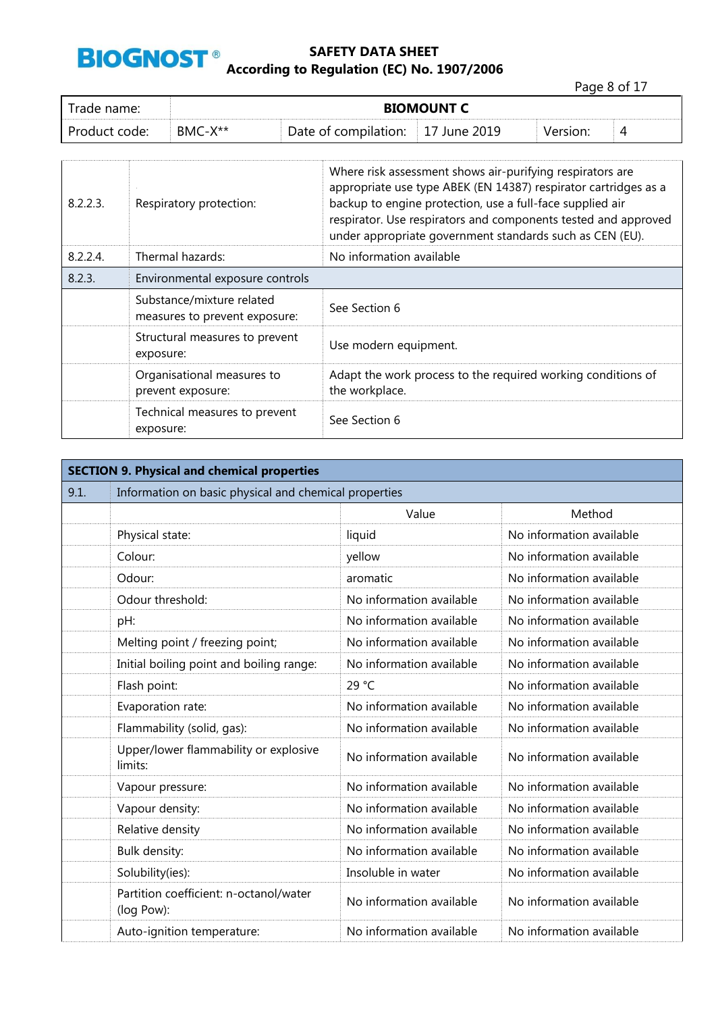

Page 8 of 17

| Trade name:   |         | <b>BIOMOUNT C</b>    |              |          |  |  |  |  |
|---------------|---------|----------------------|--------------|----------|--|--|--|--|
| Product code: | BMC-X** | Date of compilation: | 2019<br>June | Version: |  |  |  |  |

| 8.2.2.3. | Respiratory protection:                                    | Where risk assessment shows air-purifying respirators are<br>appropriate use type ABEK (EN 14387) respirator cartridges as a<br>backup to engine protection, use a full-face supplied air<br>respirator. Use respirators and components tested and approved<br>under appropriate government standards such as CEN (EU). |
|----------|------------------------------------------------------------|-------------------------------------------------------------------------------------------------------------------------------------------------------------------------------------------------------------------------------------------------------------------------------------------------------------------------|
| 8.2.2.4  | Thermal hazards:                                           | No information available                                                                                                                                                                                                                                                                                                |
| 8.2.3.   | Environmental exposure controls                            |                                                                                                                                                                                                                                                                                                                         |
|          | Substance/mixture related<br>measures to prevent exposure: | See Section 6                                                                                                                                                                                                                                                                                                           |
|          | Structural measures to prevent<br>exposure:                | Use modern equipment.                                                                                                                                                                                                                                                                                                   |
|          | Organisational measures to<br>prevent exposure:            | Adapt the work process to the required working conditions of<br>the workplace.                                                                                                                                                                                                                                          |
|          | Technical measures to prevent<br>exposure:                 | See Section 6                                                                                                                                                                                                                                                                                                           |

| <b>SECTION 9. Physical and chemical properties</b> |                                                       |                          |                          |  |  |  |  |  |  |
|----------------------------------------------------|-------------------------------------------------------|--------------------------|--------------------------|--|--|--|--|--|--|
| 9.1.                                               | Information on basic physical and chemical properties |                          |                          |  |  |  |  |  |  |
|                                                    |                                                       | Value                    | Method                   |  |  |  |  |  |  |
|                                                    | Physical state:                                       | liquid                   | No information available |  |  |  |  |  |  |
|                                                    | Colour:                                               | yellow                   | No information available |  |  |  |  |  |  |
|                                                    | Odour:                                                | aromatic                 | No information available |  |  |  |  |  |  |
|                                                    | Odour threshold:                                      | No information available | No information available |  |  |  |  |  |  |
|                                                    | pH:                                                   | No information available | No information available |  |  |  |  |  |  |
|                                                    | Melting point / freezing point;                       | No information available | No information available |  |  |  |  |  |  |
|                                                    | Initial boiling point and boiling range:              | No information available | No information available |  |  |  |  |  |  |
|                                                    | Flash point:                                          | 29 °C                    | No information available |  |  |  |  |  |  |
|                                                    | Evaporation rate:                                     | No information available | No information available |  |  |  |  |  |  |
|                                                    | Flammability (solid, gas):                            | No information available | No information available |  |  |  |  |  |  |
|                                                    | Upper/lower flammability or explosive<br>limits:      | No information available | No information available |  |  |  |  |  |  |
|                                                    | Vapour pressure:                                      | No information available | No information available |  |  |  |  |  |  |
|                                                    | Vapour density:                                       | No information available | No information available |  |  |  |  |  |  |
|                                                    | Relative density                                      | No information available | No information available |  |  |  |  |  |  |
|                                                    | Bulk density:                                         | No information available | No information available |  |  |  |  |  |  |
|                                                    | Solubility(ies):                                      | Insoluble in water       | No information available |  |  |  |  |  |  |
|                                                    | Partition coefficient: n-octanol/water<br>(log Pow):  | No information available | No information available |  |  |  |  |  |  |
|                                                    | Auto-ignition temperature:                            | No information available | No information available |  |  |  |  |  |  |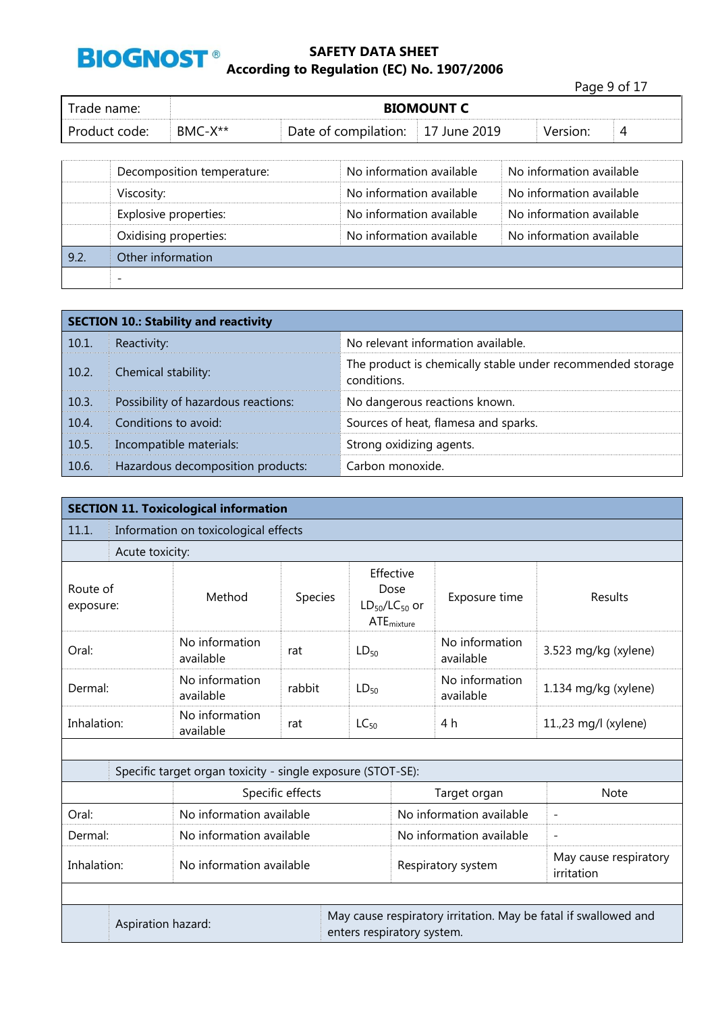

|               |         |                                   |                   | Page 9 of 17 |   |
|---------------|---------|-----------------------------------|-------------------|--------------|---|
| Trade name: I |         |                                   | <b>BIOMOUNT C</b> |              |   |
| Product code: | BMC-X** | Date of compilation: 17 June 2019 |                   | Version:     | 4 |

|      | Decomposition temperature: | No information available | No information available |
|------|----------------------------|--------------------------|--------------------------|
|      | Viscosity:                 | No information available | No information available |
|      | Explosive properties:      | No information available | No information available |
|      | Oxidising properties:      | No information available | No information available |
| 9.2. | Other information          |                          |                          |
|      |                            |                          |                          |

| <b>SECTION 10.: Stability and reactivity</b> |                                     |                                                                           |  |  |  |
|----------------------------------------------|-------------------------------------|---------------------------------------------------------------------------|--|--|--|
| 10.1.                                        | Reactivity:                         | No relevant information available.                                        |  |  |  |
| 10.2.                                        | Chemical stability:                 | The product is chemically stable under recommended storage<br>conditions. |  |  |  |
| 10.3.                                        | Possibility of hazardous reactions: | No dangerous reactions known.                                             |  |  |  |
| 10.4.                                        | Conditions to avoid:                | Sources of heat, flamesa and sparks.                                      |  |  |  |
| 10.5.                                        | Incompatible materials:             | Strong oxidizing agents.                                                  |  |  |  |
| $\vert$ 10.6.                                | Hazardous decomposition products:   | Carbon monoxide.                                                          |  |  |  |

| <b>SECTION 11. Toxicological information</b> |                                                 |                                                             |                    |                                                                                               |                                                              |                                     |                          |  |  |
|----------------------------------------------|-------------------------------------------------|-------------------------------------------------------------|--------------------|-----------------------------------------------------------------------------------------------|--------------------------------------------------------------|-------------------------------------|--------------------------|--|--|
| 11.1.                                        | Information on toxicological effects            |                                                             |                    |                                                                                               |                                                              |                                     |                          |  |  |
|                                              | Acute toxicity:                                 |                                                             |                    |                                                                                               |                                                              |                                     |                          |  |  |
| Route of<br>exposure:                        |                                                 | Method                                                      | Species            |                                                                                               | Effective<br>Dose<br>$LD_{50}/LC_{50}$ or<br>$ATE_{mixture}$ | Exposure time                       | Results                  |  |  |
| Oral:                                        |                                                 | No information<br>available                                 | rat                | $LD_{50}$                                                                                     |                                                              | No information<br>available         | 3.523 mg/kg (xylene)     |  |  |
| Dermal:                                      |                                                 | No information<br>available                                 | rabbit             | $LD_{50}$                                                                                     |                                                              | No information<br>available         | 1.134 mg/kg (xylene)     |  |  |
| Inhalation:                                  | No information<br>$LC_{50}$<br>rat<br>available |                                                             |                    | 4 h                                                                                           | 11.,23 mg/l (xylene)                                         |                                     |                          |  |  |
|                                              |                                                 |                                                             |                    |                                                                                               |                                                              |                                     |                          |  |  |
|                                              |                                                 | Specific target organ toxicity - single exposure (STOT-SE): |                    |                                                                                               |                                                              |                                     |                          |  |  |
|                                              |                                                 |                                                             | Specific effects   |                                                                                               |                                                              | Target organ                        | <b>Note</b>              |  |  |
| Oral:                                        |                                                 | No information available                                    |                    | No information available                                                                      |                                                              | $\overline{\phantom{a}}$            |                          |  |  |
| Dermal:                                      |                                                 | No information available                                    |                    |                                                                                               |                                                              | No information available            | $\overline{\phantom{a}}$ |  |  |
| Inhalation:<br>No information available      |                                                 |                                                             | Respiratory system |                                                                                               |                                                              | May cause respiratory<br>irritation |                          |  |  |
|                                              |                                                 |                                                             |                    |                                                                                               |                                                              |                                     |                          |  |  |
| Aspiration hazard:                           |                                                 |                                                             |                    | May cause respiratory irritation. May be fatal if swallowed and<br>enters respiratory system. |                                                              |                                     |                          |  |  |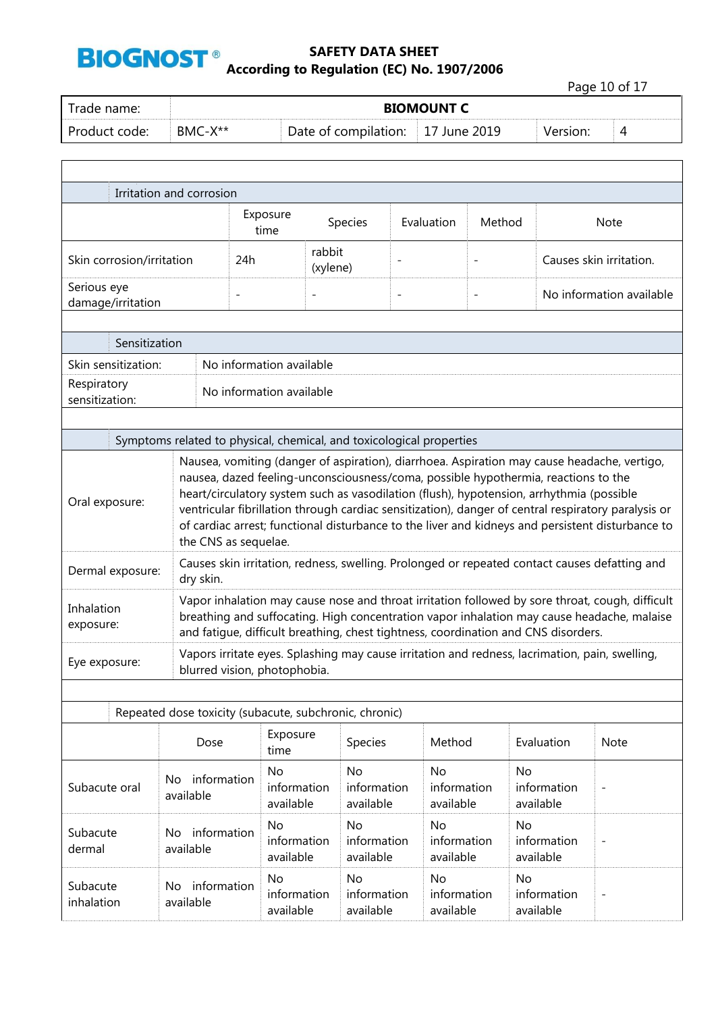

 $\Gamma$ 

#### **SAFETY DATA SHEET According to Regulation (EC) No. 1907/2006**

Page 10 of 17 Trade name: **BIOMOUNT C** Product code: BMC-X<sup>\*\*</sup> Date of compilation: 17 June 2019 Version: 4

٦

| Irritation and corrosion         |                                   |                          |                                                                                                                                                                                                                                                                                                                                                                                                                                                                                                                  |                                       |                          |                          |                                                                                                |                                                                                                                                                                                               |  |
|----------------------------------|-----------------------------------|--------------------------|------------------------------------------------------------------------------------------------------------------------------------------------------------------------------------------------------------------------------------------------------------------------------------------------------------------------------------------------------------------------------------------------------------------------------------------------------------------------------------------------------------------|---------------------------------------|--------------------------|--------------------------|------------------------------------------------------------------------------------------------|-----------------------------------------------------------------------------------------------------------------------------------------------------------------------------------------------|--|
|                                  |                                   |                          | Exposure<br>time                                                                                                                                                                                                                                                                                                                                                                                                                                                                                                 | Species                               | Evaluation               | Method                   |                                                                                                | <b>Note</b>                                                                                                                                                                                   |  |
| Skin corrosion/irritation        |                                   | 24h                      | rabbit<br>(xylene)                                                                                                                                                                                                                                                                                                                                                                                                                                                                                               |                                       |                          |                          |                                                                                                | Causes skin irritation.                                                                                                                                                                       |  |
| Serious eye<br>damage/irritation |                                   | $\overline{\phantom{a}}$ | $\overline{\phantom{a}}$                                                                                                                                                                                                                                                                                                                                                                                                                                                                                         |                                       | $\overline{\phantom{a}}$ | $\overline{\phantom{a}}$ |                                                                                                | No information available                                                                                                                                                                      |  |
|                                  |                                   |                          |                                                                                                                                                                                                                                                                                                                                                                                                                                                                                                                  |                                       |                          |                          |                                                                                                |                                                                                                                                                                                               |  |
| Sensitization                    |                                   |                          |                                                                                                                                                                                                                                                                                                                                                                                                                                                                                                                  |                                       |                          |                          |                                                                                                |                                                                                                                                                                                               |  |
| Skin sensitization:              |                                   |                          | No information available                                                                                                                                                                                                                                                                                                                                                                                                                                                                                         |                                       |                          |                          |                                                                                                |                                                                                                                                                                                               |  |
| Respiratory<br>sensitization:    |                                   |                          | No information available                                                                                                                                                                                                                                                                                                                                                                                                                                                                                         |                                       |                          |                          |                                                                                                |                                                                                                                                                                                               |  |
|                                  |                                   |                          |                                                                                                                                                                                                                                                                                                                                                                                                                                                                                                                  |                                       |                          |                          |                                                                                                |                                                                                                                                                                                               |  |
|                                  |                                   |                          | Symptoms related to physical, chemical, and toxicological properties                                                                                                                                                                                                                                                                                                                                                                                                                                             |                                       |                          |                          |                                                                                                |                                                                                                                                                                                               |  |
| Oral exposure:                   |                                   |                          | Nausea, vomiting (danger of aspiration), diarrhoea. Aspiration may cause headache, vertigo,<br>nausea, dazed feeling-unconsciousness/coma, possible hypothermia, reactions to the<br>heart/circulatory system such as vasodilation (flush), hypotension, arrhythmia (possible<br>ventricular fibrillation through cardiac sensitization), danger of central respiratory paralysis or<br>of cardiac arrest; functional disturbance to the liver and kidneys and persistent disturbance to<br>the CNS as sequelae. |                                       |                          |                          |                                                                                                |                                                                                                                                                                                               |  |
| Dermal exposure:                 | dry skin.                         |                          |                                                                                                                                                                                                                                                                                                                                                                                                                                                                                                                  |                                       |                          |                          |                                                                                                | Causes skin irritation, redness, swelling. Prolonged or repeated contact causes defatting and                                                                                                 |  |
| Inhalation<br>exposure:          |                                   |                          |                                                                                                                                                                                                                                                                                                                                                                                                                                                                                                                  |                                       |                          |                          | and fatique, difficult breathing, chest tightness, coordination and CNS disorders.             | Vapor inhalation may cause nose and throat irritation followed by sore throat, cough, difficult<br>breathing and suffocating. High concentration vapor inhalation may cause headache, malaise |  |
| Eye exposure:                    |                                   |                          | blurred vision, photophobia.                                                                                                                                                                                                                                                                                                                                                                                                                                                                                     |                                       |                          |                          | Vapors irritate eyes. Splashing may cause irritation and redness, lacrimation, pain, swelling, |                                                                                                                                                                                               |  |
|                                  |                                   |                          |                                                                                                                                                                                                                                                                                                                                                                                                                                                                                                                  |                                       |                          |                          |                                                                                                |                                                                                                                                                                                               |  |
|                                  |                                   |                          | Repeated dose toxicity (subacute, subchronic, chronic)                                                                                                                                                                                                                                                                                                                                                                                                                                                           |                                       |                          |                          |                                                                                                |                                                                                                                                                                                               |  |
|                                  | Dose                              |                          | Exposure<br>time                                                                                                                                                                                                                                                                                                                                                                                                                                                                                                 | Species                               |                          | Method                   | Evaluation                                                                                     | Note                                                                                                                                                                                          |  |
| Subacute oral                    | No information<br>available       |                          | <b>No</b><br>information<br>available                                                                                                                                                                                                                                                                                                                                                                                                                                                                            | No<br>information<br>available        | No                       | information<br>available | No<br>information<br>available                                                                 |                                                                                                                                                                                               |  |
| Subacute<br>dermal               | No<br>No information<br>available |                          | information<br>available                                                                                                                                                                                                                                                                                                                                                                                                                                                                                         | <b>No</b><br>information<br>available | No                       | information<br>available | <b>No</b><br>information<br>available                                                          |                                                                                                                                                                                               |  |
| Subacute<br>inhalation           | No information<br>available       |                          | No<br>information<br>available                                                                                                                                                                                                                                                                                                                                                                                                                                                                                   | No<br>information<br>available        | No                       | information<br>available | No<br>information<br>available                                                                 | $\qquad \qquad -$                                                                                                                                                                             |  |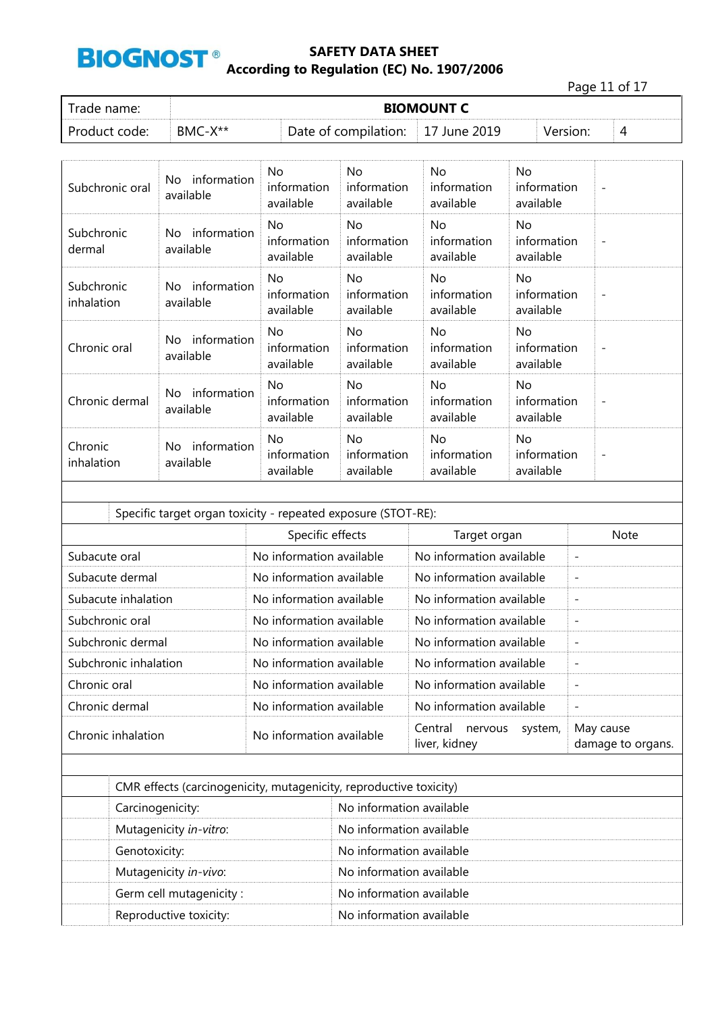

Page 11 of 17

| Trade name:   | <b>BIOMOUNT C</b> |                                   |  |          |  |
|---------------|-------------------|-----------------------------------|--|----------|--|
| Product code: | BMC-X**           | Date of compilation: 17 June 2019 |  | Version: |  |

| Subchronic oral          | information<br>No.<br>available | No<br>information<br>available  | No<br>information<br>available  | No<br>information<br>available  | No<br>information<br>available  |                          |
|--------------------------|---------------------------------|---------------------------------|---------------------------------|---------------------------------|---------------------------------|--------------------------|
| Subchronic<br>dermal     | information<br>No.<br>available | No<br>information<br>available  | No<br>information<br>available  | No.<br>information<br>available | No<br>information<br>available  | $\overline{\phantom{a}}$ |
| Subchronic<br>inhalation | information<br>No.<br>available | No.<br>information<br>available | No<br>information<br>available  | No.<br>information<br>available | No.<br>information<br>available | $\overline{\phantom{a}}$ |
| Chronic oral             | information<br>No.<br>available | No.<br>information<br>available | No.<br>information<br>available | No.<br>information<br>available | No.<br>information<br>available |                          |
| Chronic dermal           | information<br>No.<br>available | No.<br>information<br>available | No<br>information<br>available  | No.<br>information<br>available | No<br>information<br>available  |                          |
| Chronic<br>inhalation    | information<br>No.<br>available | No.<br>information<br>available | No<br>information<br>available  | No.<br>information<br>available | No<br>information<br>available  | $\overline{\phantom{0}}$ |

|                       | Specific target organ toxicity - repeated exposure (STOT-RE): |                                                |                                |
|-----------------------|---------------------------------------------------------------|------------------------------------------------|--------------------------------|
|                       | Specific effects                                              | Target organ                                   | Note                           |
| Subacute oral         | No information available                                      | No information available                       | $\overline{\phantom{a}}$       |
| Subacute dermal       | No information available                                      | No information available                       | $\overline{\phantom{a}}$       |
| Subacute inhalation   | No information available                                      | No information available                       | $\overline{\phantom{a}}$       |
| Subchronic oral       | No information available                                      | No information available                       | $\overline{\phantom{a}}$       |
| Subchronic dermal     | No information available                                      | No information available                       |                                |
| Subchronic inhalation | No information available                                      | No information available                       |                                |
| Chronic oral          | No information available                                      | No information available                       |                                |
| Chronic dermal        | No information available                                      | No information available                       | $\overline{\phantom{a}}$       |
| Chronic inhalation    | No information available                                      | Central<br>system,<br>nervous<br>liver, kidney | May cause<br>damage to organs. |
|                       |                                                               |                                                |                                |

| CMR effects (carcinogenicity, mutagenicity, reproductive toxicity) |                          |  |  |  |
|--------------------------------------------------------------------|--------------------------|--|--|--|
| Carcinogenicity:                                                   | No information available |  |  |  |
| Mutagenicity in-vitro:                                             | No information available |  |  |  |
| Genotoxicity:                                                      | No information available |  |  |  |
| Mutagenicity in-vivo:                                              | No information available |  |  |  |
| Germ cell mutagenicity:                                            | No information available |  |  |  |
| Reproductive toxicity:                                             | No information available |  |  |  |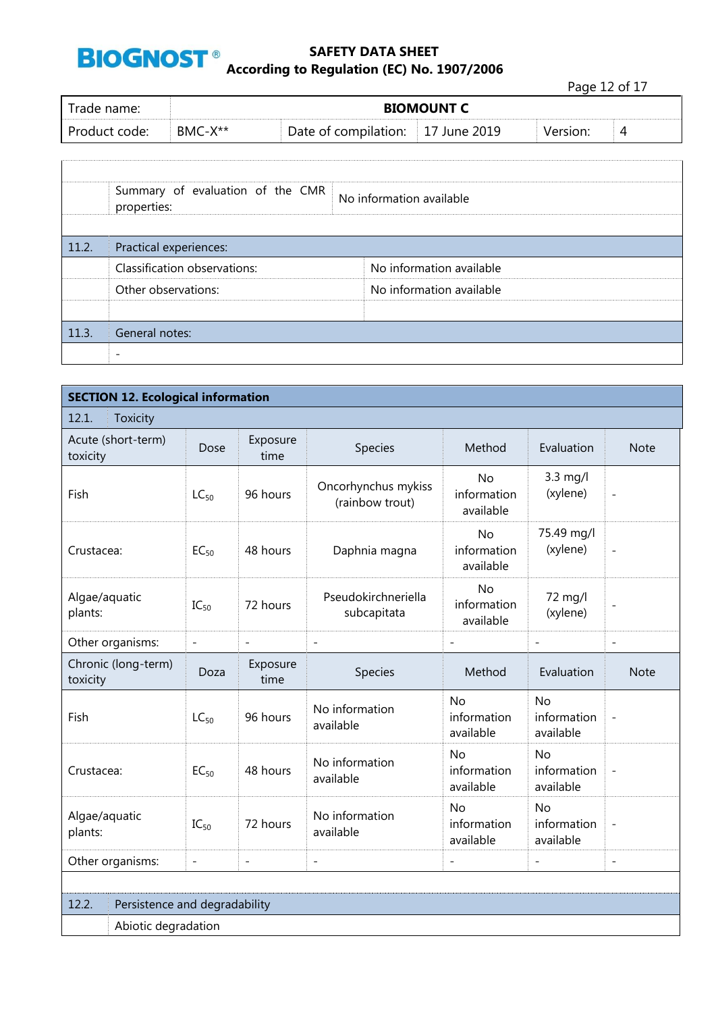

Page 12 of 17

| Trade name:   | <b>BIOMOUNT C</b> |                      |              |          |   |
|---------------|-------------------|----------------------|--------------|----------|---|
| Product code: | BMC-X**           | Date of compilation: | 17 June 2019 | Version: | ൧ |

|       | Summary of evaluation of the CMR<br>properties: | No information available |
|-------|-------------------------------------------------|--------------------------|
| 11.2. | Practical experiences:                          |                          |
|       | Classification observations:                    | No information available |
|       | Other observations:                             | No information available |
|       |                                                 |                          |
| 11.3. | General notes:                                  |                          |
|       |                                                 |                          |

| <b>SECTION 12. Ecological information</b>                                                     |                                                                 |                          |                                       |                                       |                                       |                          |
|-----------------------------------------------------------------------------------------------|-----------------------------------------------------------------|--------------------------|---------------------------------------|---------------------------------------|---------------------------------------|--------------------------|
| 12.1.<br><b>Toxicity</b>                                                                      |                                                                 |                          |                                       |                                       |                                       |                          |
| Acute (short-term)<br>toxicity                                                                | Dose                                                            | Exposure<br>time         | Species                               | Method                                | Evaluation                            | <b>Note</b>              |
| Fish                                                                                          | Oncorhynchus mykiss<br>$LC_{50}$<br>96 hours<br>(rainbow trout) |                          | <b>No</b><br>information<br>available | 3.3 mg/l<br>(xylene)                  | $\overline{\phantom{0}}$              |                          |
| <b>No</b><br>information<br>48 hours<br>Daphnia magna<br>Crustacea:<br>$EC_{50}$<br>available |                                                                 | 75.49 mg/l<br>(xylene)   | $\overline{\phantom{a}}$              |                                       |                                       |                          |
| Algae/aquatic<br>plants:                                                                      | $IC_{50}$                                                       | 72 hours                 | Pseudokirchneriella<br>subcapitata    | <b>No</b><br>information<br>available | 72 mg/l<br>(xylene)                   | $\overline{\phantom{a}}$ |
| Other organisms:                                                                              | $\overline{a}$                                                  | $\overline{\phantom{a}}$ | $\equiv$                              | $\overline{a}$                        | $\overline{\phantom{a}}$              | $\overline{\phantom{a}}$ |
| Chronic (long-term)<br>toxicity                                                               | Doza                                                            | Exposure<br>time         | Species                               | Method                                | Evaluation                            | <b>Note</b>              |
| Fish                                                                                          | $LC_{50}$                                                       | 96 hours                 | No information<br>available           | <b>No</b><br>information<br>available | <b>No</b><br>information<br>available |                          |
| Crustacea:                                                                                    | $EC_{50}$                                                       | 48 hours                 | No information<br>available           | <b>No</b><br>information<br>available | <b>No</b><br>information<br>available | $\overline{\phantom{0}}$ |
| Algae/aquatic<br>plants:                                                                      | $IC_{50}$                                                       | 72 hours                 | No information<br>available           | <b>No</b><br>information<br>available | No<br>information<br>available        |                          |
| Other organisms:                                                                              | $\overline{a}$                                                  | $\overline{\phantom{a}}$ | $\overline{a}$                        |                                       |                                       | $\overline{\phantom{a}}$ |
|                                                                                               |                                                                 |                          |                                       |                                       |                                       |                          |
| 12.2.<br>Persistence and degradability                                                        |                                                                 |                          |                                       |                                       |                                       |                          |
| Abiotic degradation                                                                           |                                                                 |                          |                                       |                                       |                                       |                          |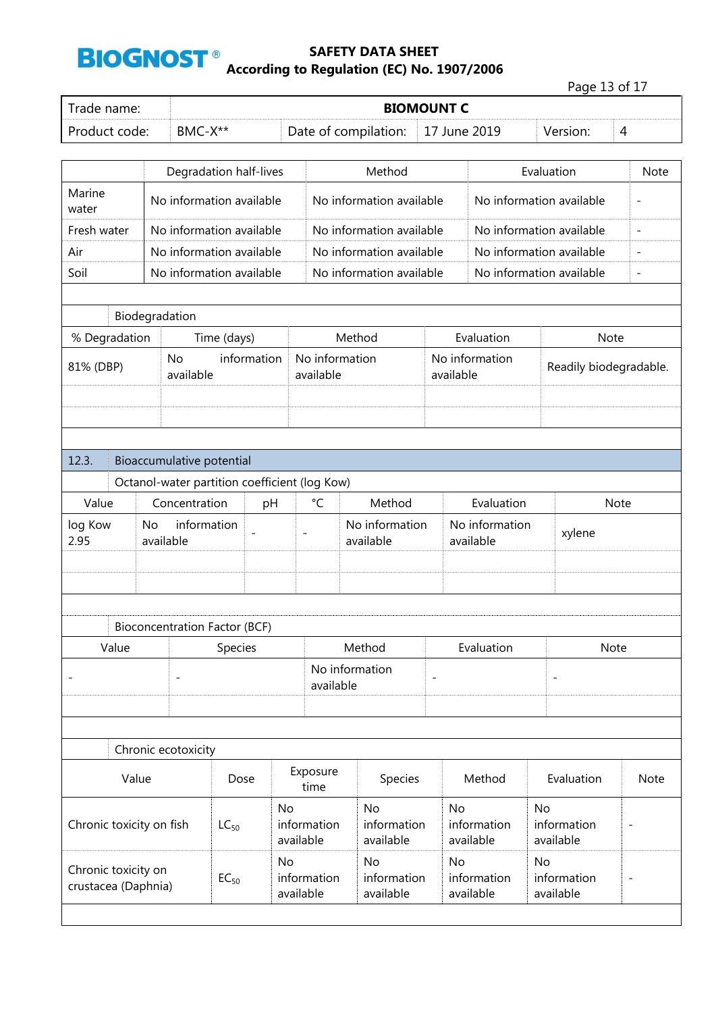

|                                            |                 |                           |                                      |         |                                               |                          |                             |                          |             | Page 13 of 17            |                          |                          |
|--------------------------------------------|-----------------|---------------------------|--------------------------------------|---------|-----------------------------------------------|--------------------------|-----------------------------|--------------------------|-------------|--------------------------|--------------------------|--------------------------|
| Trade name:                                |                 |                           |                                      |         |                                               |                          | <b>BIOMOUNT C</b>           |                          |             |                          |                          |                          |
| Product code:                              |                 | BMC-X**                   |                                      |         |                                               | Date of compilation:     | 17 June 2019                |                          |             | Version:                 | $\overline{4}$           |                          |
|                                            |                 |                           |                                      |         |                                               |                          |                             |                          |             |                          |                          |                          |
|                                            |                 |                           | Degradation half-lives               |         |                                               | Method                   |                             |                          | Evaluation  |                          |                          | <b>Note</b>              |
| Marine<br>water                            |                 |                           | No information available             |         |                                               | No information available |                             |                          |             | No information available |                          |                          |
| Fresh water                                |                 |                           | No information available             |         |                                               | No information available |                             |                          |             | No information available |                          | $\overline{\phantom{a}}$ |
| Air                                        |                 |                           | No information available             |         |                                               | No information available |                             |                          |             | No information available |                          |                          |
| Soil                                       |                 |                           | No information available             |         |                                               | No information available |                             |                          |             | No information available |                          | $\overline{\phantom{0}}$ |
|                                            |                 |                           |                                      |         |                                               |                          |                             |                          |             |                          |                          |                          |
|                                            |                 | Biodegradation            |                                      |         |                                               |                          |                             |                          |             |                          |                          |                          |
| % Degradation                              |                 |                           | Time (days)                          |         |                                               | Method                   |                             | Evaluation               |             | Note                     |                          |                          |
| 81% (DBP)                                  |                 | <b>No</b><br>available    | information                          |         | No information<br>available                   |                          | available                   | No information           |             | Readily biodegradable.   |                          |                          |
|                                            |                 |                           |                                      |         |                                               |                          |                             |                          |             |                          |                          |                          |
|                                            |                 |                           |                                      |         |                                               |                          |                             |                          |             |                          |                          |                          |
|                                            |                 |                           |                                      |         |                                               |                          |                             |                          |             |                          |                          |                          |
| 12.3.                                      |                 | Bioaccumulative potential |                                      |         |                                               |                          |                             |                          |             |                          |                          |                          |
|                                            |                 |                           |                                      |         | Octanol-water partition coefficient (log Kow) |                          |                             |                          |             |                          |                          |                          |
| Value                                      |                 | Concentration             |                                      | pH      | $\rm ^{\circ}C$                               | Method                   |                             | Evaluation               | <b>Note</b> |                          |                          |                          |
| log Kow<br>2.95                            | No<br>available | information               |                                      |         | No information<br>available                   |                          | No information<br>available |                          |             | xylene                   |                          |                          |
|                                            |                 |                           |                                      |         |                                               |                          |                             |                          |             |                          |                          |                          |
|                                            |                 |                           |                                      |         |                                               |                          |                             |                          |             |                          |                          |                          |
|                                            |                 |                           |                                      |         |                                               |                          |                             |                          |             |                          |                          |                          |
|                                            |                 |                           | <b>Bioconcentration Factor (BCF)</b> |         |                                               |                          |                             |                          |             |                          |                          |                          |
| Value                                      |                 |                           | Species                              |         | Method                                        |                          | Evaluation                  |                          |             | Note                     |                          |                          |
|                                            |                 |                           |                                      |         |                                               | No information           |                             |                          |             |                          |                          |                          |
|                                            |                 |                           |                                      |         | available                                     |                          |                             |                          |             |                          |                          |                          |
|                                            |                 |                           |                                      |         |                                               |                          |                             |                          |             |                          |                          |                          |
|                                            |                 | Chronic ecotoxicity       |                                      |         |                                               |                          |                             |                          |             |                          |                          |                          |
|                                            | Value<br>Dose   |                           | Exposure<br>time                     | Species |                                               | Method                   |                             | Evaluation               |             | Note                     |                          |                          |
| No                                         |                 |                           | <b>No</b>                            | No      |                                               | No                       |                             |                          |             |                          |                          |                          |
| Chronic toxicity on fish                   |                 |                           | $LC_{50}$                            |         | information<br>available                      | information<br>available | available                   | information              |             | information<br>available | $\overline{\phantom{a}}$ |                          |
|                                            |                 |                           |                                      | No      |                                               | <b>No</b>                | No                          |                          | No          |                          |                          |                          |
| Chronic toxicity on<br>crustacea (Daphnia) |                 |                           | $EC_{50}$                            |         | information<br>available                      | information<br>available |                             | information<br>available |             | information<br>available | $\overline{\phantom{a}}$ |                          |
|                                            |                 |                           |                                      |         |                                               |                          |                             |                          |             |                          |                          |                          |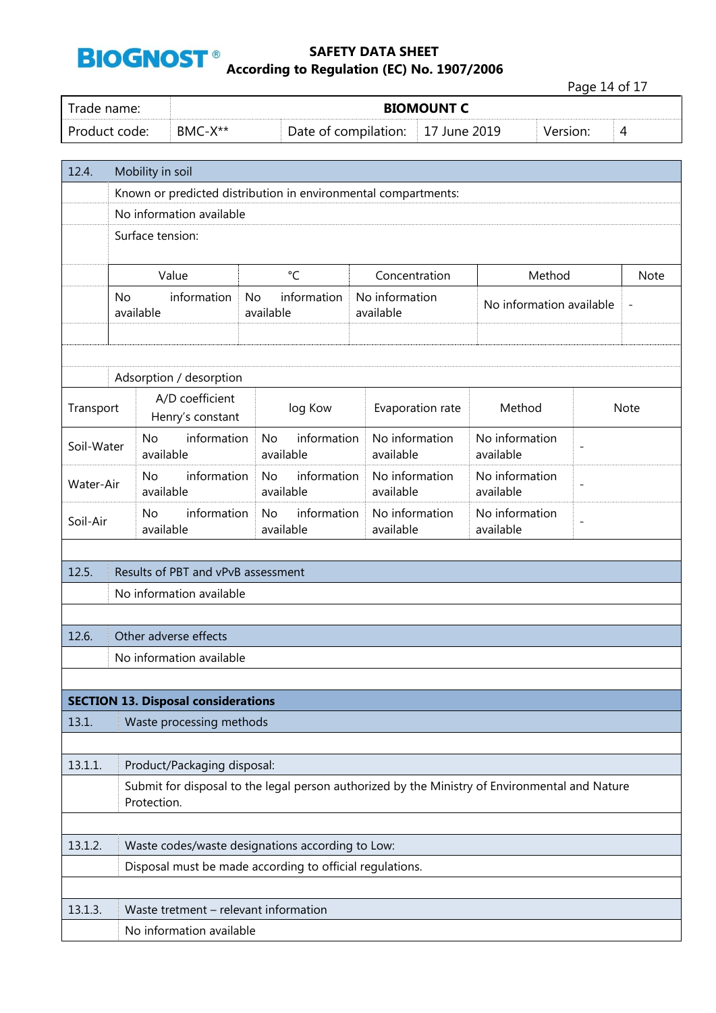

12.4. Mobility in soil

No information available

Surface tension:

#### **SAFETY DATA SHEET According to Regulation (EC) No. 1907/2006**

Page 14 of 17 Trade name: **BIOMOUNT C** Product code: BMC-X\*\* | Date of compilation: 17 June 2019 | Version: 4 Known or predicted distribution in environmental compartments: Value °C Concentration Method Note No information

|            | information<br>No<br>available                                                                                | information<br>No<br>available        | No information<br>available | No information available    |                   | $\overline{\phantom{a}}$ |  |
|------------|---------------------------------------------------------------------------------------------------------------|---------------------------------------|-----------------------------|-----------------------------|-------------------|--------------------------|--|
|            |                                                                                                               |                                       |                             |                             |                   |                          |  |
|            | Adsorption / desorption                                                                                       |                                       |                             |                             |                   |                          |  |
| Transport  | A/D coefficient<br>Henry's constant                                                                           | log Kow                               | Evaporation rate            | Method                      |                   | <b>Note</b>              |  |
| Soil-Water | information<br><b>No</b><br>available                                                                         | information<br><b>No</b><br>available | No information<br>available | No information<br>available | L,                |                          |  |
| Water-Air  | information<br><b>No</b><br>available                                                                         | information<br>No<br>available        | No information<br>available | No information<br>available | $\overline{a}$    |                          |  |
| Soil-Air   | information<br><b>No</b><br>available                                                                         | information<br>No<br>available        | No information<br>available | No information<br>available | $\qquad \qquad -$ |                          |  |
| 12.6.      | No information available<br>Other adverse effects                                                             |                                       |                             |                             |                   |                          |  |
|            | No information available                                                                                      |                                       |                             |                             |                   |                          |  |
|            | <b>SECTION 13. Disposal considerations</b>                                                                    |                                       |                             |                             |                   |                          |  |
| 13.1.      | Waste processing methods                                                                                      |                                       |                             |                             |                   |                          |  |
| 13.1.1.    | Product/Packaging disposal:                                                                                   |                                       |                             |                             |                   |                          |  |
|            | Submit for disposal to the legal person authorized by the Ministry of Environmental and Nature<br>Protection. |                                       |                             |                             |                   |                          |  |
| 13.1.2.    | Waste codes/waste designations according to Low:                                                              |                                       |                             |                             |                   |                          |  |
|            | Disposal must be made according to official regulations.                                                      |                                       |                             |                             |                   |                          |  |
| 13.1.3.    | Waste tretment - relevant information                                                                         |                                       |                             |                             |                   |                          |  |
|            | No information available                                                                                      |                                       |                             |                             |                   |                          |  |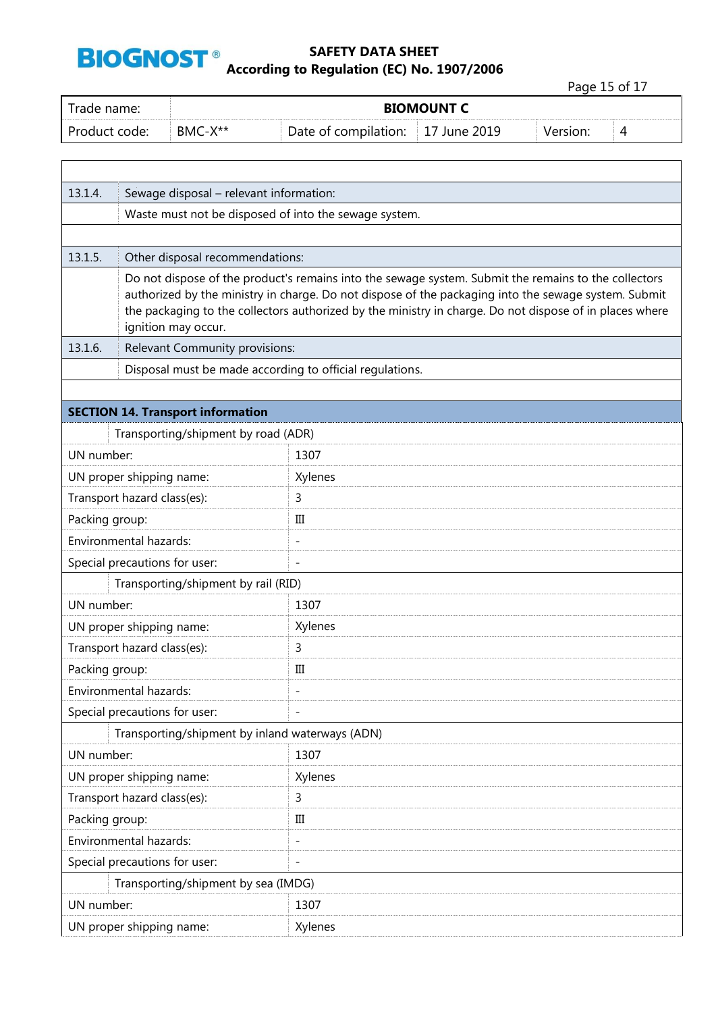

# **SAFETY DATA SHEET BIOGNOST**<sup>®</sup><br>According to Regulation (EC) No. 1907/2006

Page 15 of 17 Trade name: **BIOMOUNT C** Product code: BMC-X<sup>\*\*</sup> Date of compilation: 17 June 2019 Version: 4 13.1.4. Sewage disposal – relevant information: Waste must not be disposed of into the sewage system. 13.1.5. Other disposal recommendations: Do not dispose of the product's remains into the sewage system. Submit the remains to the collectors authorized by the ministry in charge. Do not dispose of the packaging into the sewage system. Submit the packaging to the collectors authorized by the ministry in charge. Do not dispose of in places where ignition may occur. 13.1.6. Relevant Community provisions: Disposal must be made according to official regulations. **SECTION 14. Transport information** Transporting/shipment by road (ADR) UN number: 1307 UN proper shipping name: Xylenes Transport hazard class(es): 3 Packing group: III Environmental hazards: - Special precautions for user: Transporting/shipment by rail (RID) UN number: 1307 UN proper shipping name: Xylenes Transport hazard class(es): 3 Packing group: III Environmental hazards: The state of the state of the state of the state of the state of the state of the state of the state of the state of the state of the state of the state of the state of the state of the state of the Special precautions for user: Transporting/shipment by inland waterways (ADN) UN number: 1307 UN proper shipping name: Xylenes Transport hazard class(es): 3 Packing group: III Environmental hazards: The contract of the set of the set of the set of the set of the set of the set of the set of the set of the set of the set of the set of the set of the set of the set of the set of the set of the set Special precautions for user: Transporting/shipment by sea (IMDG) UN number: 1307 UN proper shipping name: Xylenes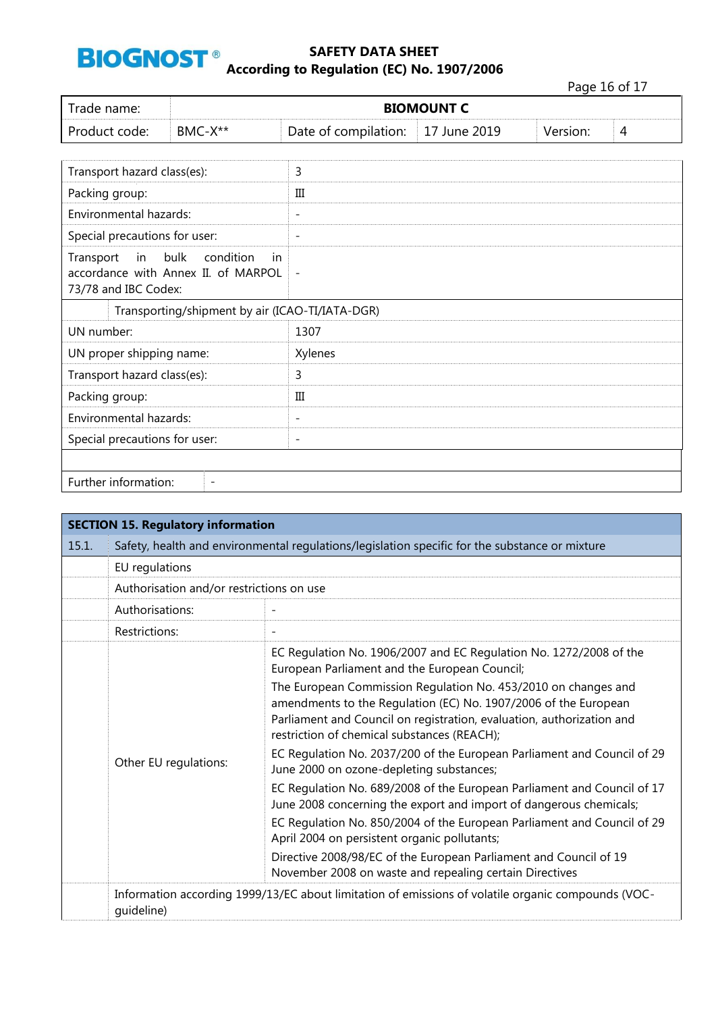

Page 16 of 17

| Trade name:   | <b>BIOMOUNT C</b> |                      |                    |          |   |  |
|---------------|-------------------|----------------------|--------------------|----------|---|--|
| Product code: | BMC-X**           | Date of compilation: | $\pm 17$ June 2019 | Version: | 4 |  |

| Transport hazard class(es):                                                                             | 3                        |
|---------------------------------------------------------------------------------------------------------|--------------------------|
| Packing group:                                                                                          | III                      |
| Environmental hazards:                                                                                  | $\overline{\phantom{a}}$ |
| Special precautions for user:                                                                           | $\overline{\phantom{a}}$ |
| in bulk<br>condition<br>Transport<br>-in<br>accordance with Annex II. of MARPOL<br>73/78 and IBC Codex: | $\overline{\phantom{a}}$ |
| Transporting/shipment by air (ICAO-TI/IATA-DGR)                                                         |                          |
| UN number:                                                                                              | 1307                     |
| UN proper shipping name:                                                                                | Xylenes                  |
| Transport hazard class(es):                                                                             | 3                        |
| Packing group:                                                                                          | III                      |
| Environmental hazards:                                                                                  | $\overline{\phantom{a}}$ |
| Special precautions for user:                                                                           | $\overline{\phantom{a}}$ |
|                                                                                                         |                          |
| Further information:<br>$\qquad \qquad$                                                                 |                          |

|       | <b>SECTION 15. Regulatory information</b>                                                      |                                                                                                                                                                                                                                                           |  |  |  |
|-------|------------------------------------------------------------------------------------------------|-----------------------------------------------------------------------------------------------------------------------------------------------------------------------------------------------------------------------------------------------------------|--|--|--|
| 15.1. | Safety, health and environmental regulations/legislation specific for the substance or mixture |                                                                                                                                                                                                                                                           |  |  |  |
|       | EU regulations                                                                                 |                                                                                                                                                                                                                                                           |  |  |  |
|       | Authorisation and/or restrictions on use                                                       |                                                                                                                                                                                                                                                           |  |  |  |
|       | Authorisations:                                                                                |                                                                                                                                                                                                                                                           |  |  |  |
|       | Restrictions:                                                                                  |                                                                                                                                                                                                                                                           |  |  |  |
|       |                                                                                                | EC Regulation No. 1906/2007 and EC Regulation No. 1272/2008 of the<br>European Parliament and the European Council;                                                                                                                                       |  |  |  |
|       |                                                                                                | The European Commission Regulation No. 453/2010 on changes and<br>amendments to the Regulation (EC) No. 1907/2006 of the European<br>Parliament and Council on registration, evaluation, authorization and<br>restriction of chemical substances (REACH); |  |  |  |
|       | Other EU regulations:                                                                          | EC Regulation No. 2037/200 of the European Parliament and Council of 29<br>June 2000 on ozone-depleting substances;                                                                                                                                       |  |  |  |
|       |                                                                                                | EC Regulation No. 689/2008 of the European Parliament and Council of 17<br>June 2008 concerning the export and import of dangerous chemicals;                                                                                                             |  |  |  |
|       |                                                                                                | EC Regulation No. 850/2004 of the European Parliament and Council of 29<br>April 2004 on persistent organic pollutants;                                                                                                                                   |  |  |  |
|       |                                                                                                | Directive 2008/98/EC of the European Parliament and Council of 19<br>November 2008 on waste and repealing certain Directives                                                                                                                              |  |  |  |
|       | quideline)                                                                                     | Information according 1999/13/EC about limitation of emissions of volatile organic compounds (VOC-                                                                                                                                                        |  |  |  |